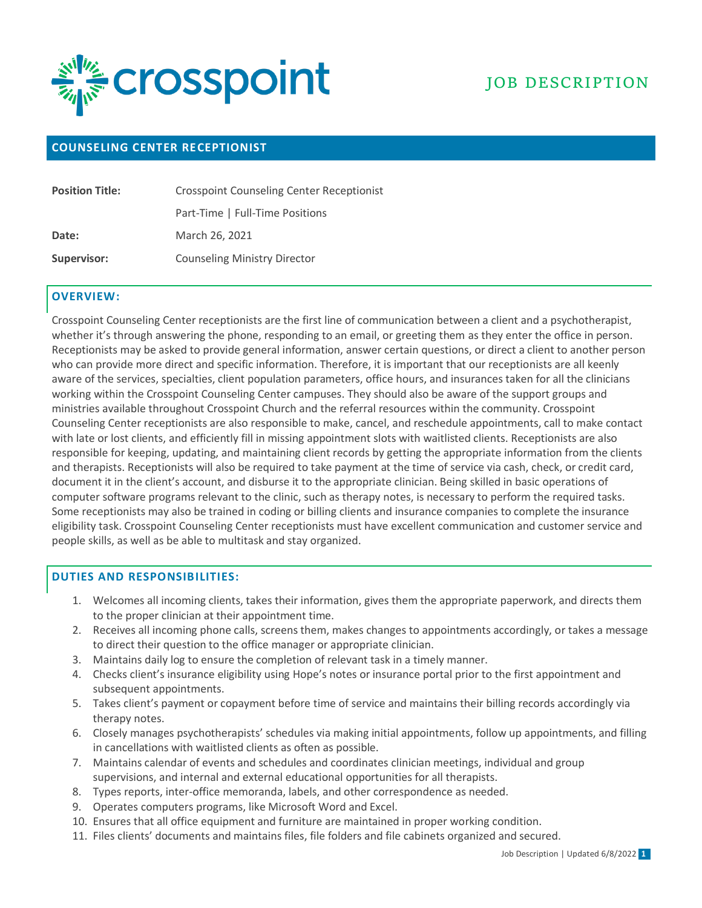

## **COUNSELING CENTER RECEPTIONIST**

| <b>Position Title:</b> | Crosspoint Counseling Center Receptionist |
|------------------------|-------------------------------------------|
|                        | Part-Time   Full-Time Positions           |
| Date:                  | March 26, 2021                            |
| Supervisor:            | <b>Counseling Ministry Director</b>       |

## **OVERVIEW:**

Crosspoint Counseling Center receptionists are the first line of communication between a client and a psychotherapist, whether it's through answering the phone, responding to an email, or greeting them as they enter the office in person. Receptionists may be asked to provide general information, answer certain questions, or direct a client to another person who can provide more direct and specific information. Therefore, it is important that our receptionists are all keenly aware of the services, specialties, client population parameters, office hours, and insurances taken for all the clinicians working within the Crosspoint Counseling Center campuses. They should also be aware of the support groups and ministries available throughout Crosspoint Church and the referral resources within the community. Crosspoint Counseling Center receptionists are also responsible to make, cancel, and reschedule appointments, call to make contact with late or lost clients, and efficiently fill in missing appointment slots with waitlisted clients. Receptionists are also responsible for keeping, updating, and maintaining client records by getting the appropriate information from the clients and therapists. Receptionists will also be required to take payment at the time of service via cash, check, or credit card, document it in the client's account, and disburse it to the appropriate clinician. Being skilled in basic operations of computer software programs relevant to the clinic, such as therapy notes, is necessary to perform the required tasks. Some receptionists may also be trained in coding or billing clients and insurance companies to complete the insurance eligibility task. Crosspoint Counseling Center receptionists must have excellent communication and customer service and people skills, as well as be able to multitask and stay organized.

## **DUTIES AND RESPONSIBILITIES:**

- 1. Welcomes all incoming clients, takes their information, gives them the appropriate paperwork, and directs them to the proper clinician at their appointment time.
- 2. Receives all incoming phone calls, screens them, makes changes to appointments accordingly, or takes a message to direct their question to the office manager or appropriate clinician.
- 3. Maintains daily log to ensure the completion of relevant task in a timely manner.
- 4. Checks client's insurance eligibility using Hope's notes or insurance portal prior to the first appointment and subsequent appointments.
- 5. Takes client's payment or copayment before time of service and maintains their billing records accordingly via therapy notes.
- 6. Closely manages psychotherapists' schedules via making initial appointments, follow up appointments, and filling in cancellations with waitlisted clients as often as possible.
- 7. Maintains calendar of events and schedules and coordinates clinician meetings, individual and group supervisions, and internal and external educational opportunities for all therapists.
- 8. Types reports, inter-office memoranda, labels, and other correspondence as needed.
- 9. Operates computers programs, like Microsoft Word and Excel.
- 10. Ensures that all office equipment and furniture are maintained in proper working condition.
- 11. Files clients' documents and maintains files, file folders and file cabinets organized and secured.